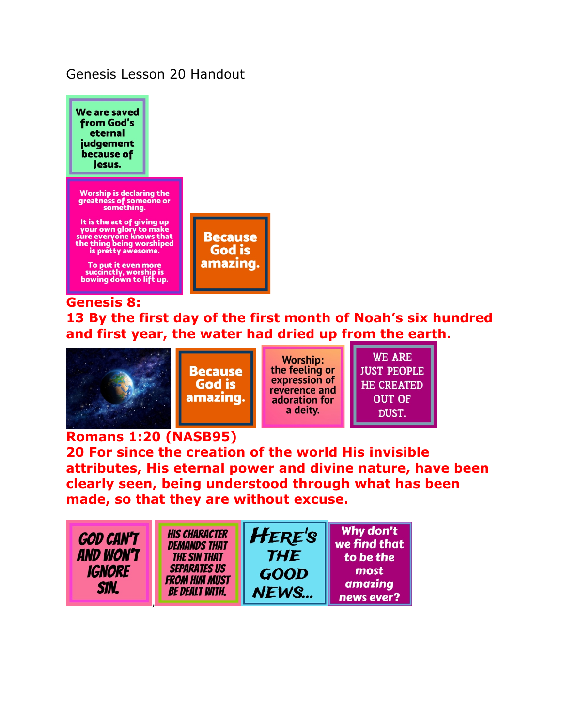### Genesis Lesson 20 Handout



**Genesis 8: 13 By the first day of the first month of Noah's six hundred and first year, the water had dried up from the earth.** 



**Because** God is amazing.

**Worship:** the feeling or expression of reverence and adoration for a deity.

**WE ARE JUST PEOPLE HE CREATED OUT OF** DUST.

### **Romans 1:20 (NASB95)**

**20 For since the creation of the world His invisible attributes, His eternal power and divine nature, have been clearly seen, being understood through what has been made, so that they are without excuse.** 

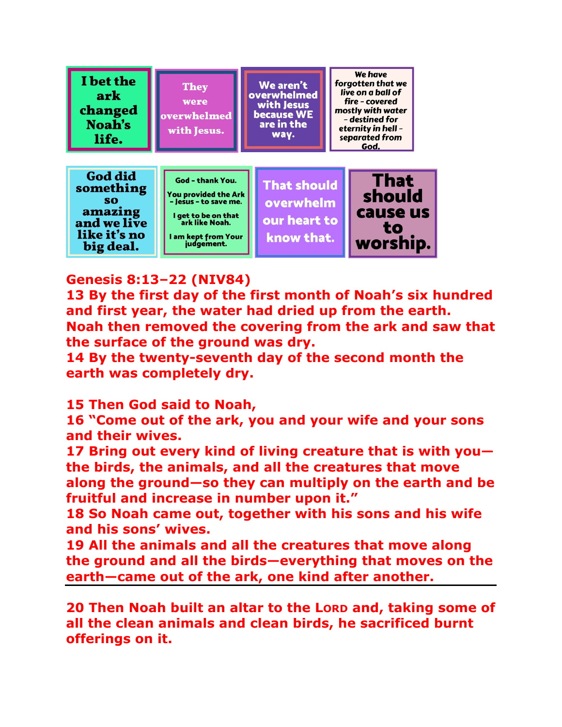

# **Genesis 8:13–22 (NIV84)**

**13 By the first day of the first month of Noah's six hundred and first year, the water had dried up from the earth. Noah then removed the covering from the ark and saw that the surface of the ground was dry.** 

**14 By the twenty-seventh day of the second month the earth was completely dry.** 

**15 Then God said to Noah,** 

**16 "Come out of the ark, you and your wife and your sons and their wives.** 

**17 Bring out every kind of living creature that is with you the birds, the animals, and all the creatures that move along the ground—so they can multiply on the earth and be fruitful and increase in number upon it."** 

**18 So Noah came out, together with his sons and his wife and his sons' wives.** 

**19 All the animals and all the creatures that move along the ground and all the birds—everything that moves on the earth—came out of the ark, one kind after another.** 

**20 Then Noah built an altar to the LORD and, taking some of all the clean animals and clean birds, he sacrificed burnt offerings on it.**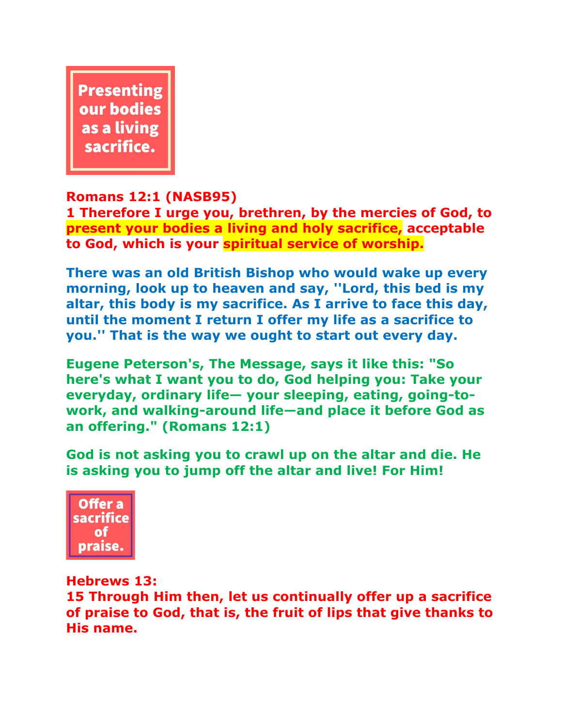

## **Romans 12:1 (NASB95)**

**1 Therefore I urge you, brethren, by the mercies of God, to present your bodies a living and holy sacrifice, acceptable to God, which is your spiritual service of worship.**

**There was an old British Bishop who would wake up every morning, look up to heaven and say, ''Lord, this bed is my altar, this body is my sacrifice. As I arrive to face this day, until the moment I return I offer my life as a sacrifice to you.'' That is the way we ought to start out every day.**

**Eugene Peterson's, The Message, says it like this: "So here's what I want you to do, God helping you: Take your everyday, ordinary life— your sleeping, eating, going-towork, and walking-around life—and place it before God as an offering." (Romans 12:1)**

**God is not asking you to crawl up on the altar and die. He is asking you to jump off the altar and live! For Him!**



### **Hebrews 13:**

**15 Through Him then, let us continually offer up a sacrifice of praise to God, that is, the fruit of lips that give thanks to His name.**